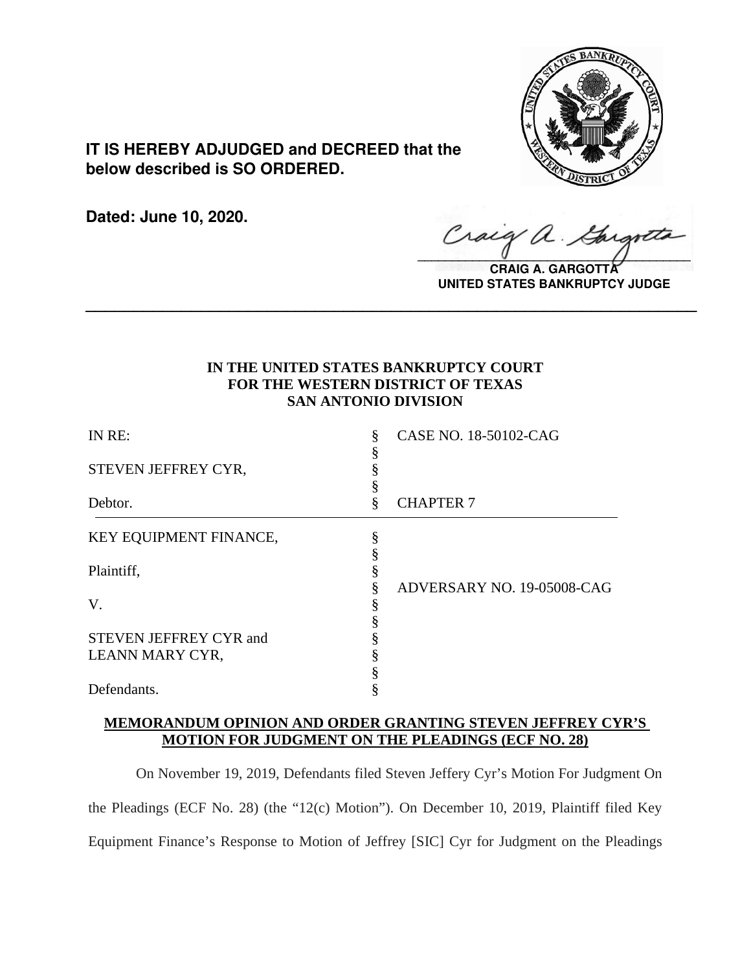

# **IT IS HEREBY ADJUDGED and DECREED that the below described is SO ORDERED.**

**Dated: June 10, 2020.**

 $\sqrt{2}$ 

**CRAIG A. GARGOTT UNITED STATES BANKRUPTCY JUDGE**

## **IN THE UNITED STATES BANKRUPTCY COURT FOR THE WESTERN DISTRICT OF TEXAS SAN ANTONIO DIVISION**

**\_\_\_\_\_\_\_\_\_\_\_\_\_\_\_\_\_\_\_\_\_\_\_\_\_\_\_\_\_\_\_\_\_\_\_\_\_\_\_\_\_\_\_\_\_\_\_\_\_\_\_\_\_\_\_\_\_\_\_\_\_\_\_\_**

| IN RE:                        |   | CASE NO. 18-50102-CAG      |
|-------------------------------|---|----------------------------|
| STEVEN JEFFREY CYR,           |   |                            |
| Debtor.                       | ş | <b>CHAPTER 7</b>           |
| KEY EQUIPMENT FINANCE,        | § |                            |
| Plaintiff,                    | ş | ADVERSARY NO. 19-05008-CAG |
| V.                            |   |                            |
| <b>STEVEN JEFFREY CYR and</b> |   |                            |
| LEANN MARY CYR,               |   |                            |
|                               |   |                            |
| Defendants.                   |   |                            |

## **MEMORANDUM OPINION AND ORDER GRANTING STEVEN JEFFREY CYR'S MOTION FOR JUDGMENT ON THE PLEADINGS (ECF NO. 28)**

On November 19, 2019, Defendants filed Steven Jeffery Cyr's Motion For Judgment On the Pleadings (ECF No. 28) (the "12(c) Motion"). On December 10, 2019, Plaintiff filed Key Equipment Finance's Response to Motion of Jeffrey [SIC] Cyr for Judgment on the Pleadings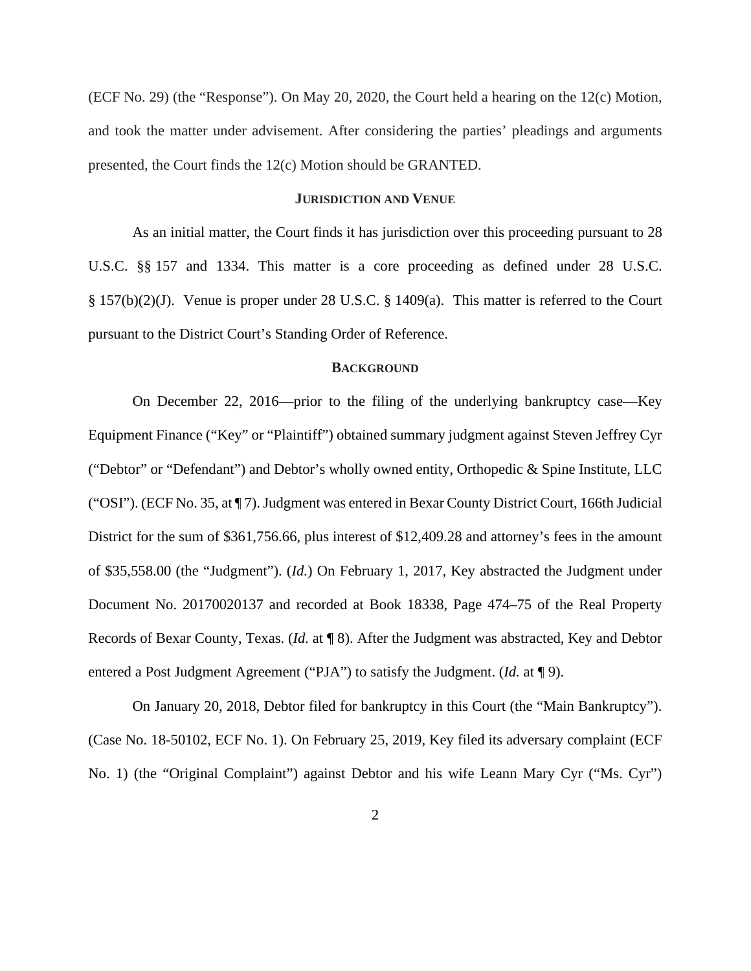(ECF No. 29) (the "Response"). On May 20, 2020, the Court held a hearing on the 12(c) Motion, and took the matter under advisement. After considering the parties' pleadings and arguments presented, the Court finds the 12(c) Motion should be GRANTED.

## **JURISDICTION AND VENUE**

As an initial matter, the Court finds it has jurisdiction over this proceeding pursuant to 28 U.S.C. §§ 157 and 1334. This matter is a core proceeding as defined under 28 U.S.C. § 157(b)(2)(J). Venue is proper under 28 U.S.C. § 1409(a). This matter is referred to the Court pursuant to the District Court's Standing Order of Reference.

#### **BACKGROUND**

On December 22, 2016—prior to the filing of the underlying bankruptcy case—Key Equipment Finance ("Key" or "Plaintiff") obtained summary judgment against Steven Jeffrey Cyr ("Debtor" or "Defendant") and Debtor's wholly owned entity, Orthopedic & Spine Institute, LLC ("OSI"). (ECF No. 35, at ¶ 7).Judgment was entered in Bexar County District Court, 166th Judicial District for the sum of \$361,756.66, plus interest of \$12,409.28 and attorney's fees in the amount of \$35,558.00 (the "Judgment"). (*Id.*) On February 1, 2017, Key abstracted the Judgment under Document No. 20170020137 and recorded at Book 18338, Page 474–75 of the Real Property Records of Bexar County, Texas. (*Id.* at ¶ 8). After the Judgment was abstracted, Key and Debtor entered a Post Judgment Agreement ("PJA") to satisfy the Judgment. (*Id.* at ¶ 9).

On January 20, 2018, Debtor filed for bankruptcy in this Court (the "Main Bankruptcy"). (Case No. 18-50102, ECF No. 1). On February 25, 2019, Key filed its adversary complaint (ECF No. 1) (the "Original Complaint") against Debtor and his wife Leann Mary Cyr ("Ms. Cyr")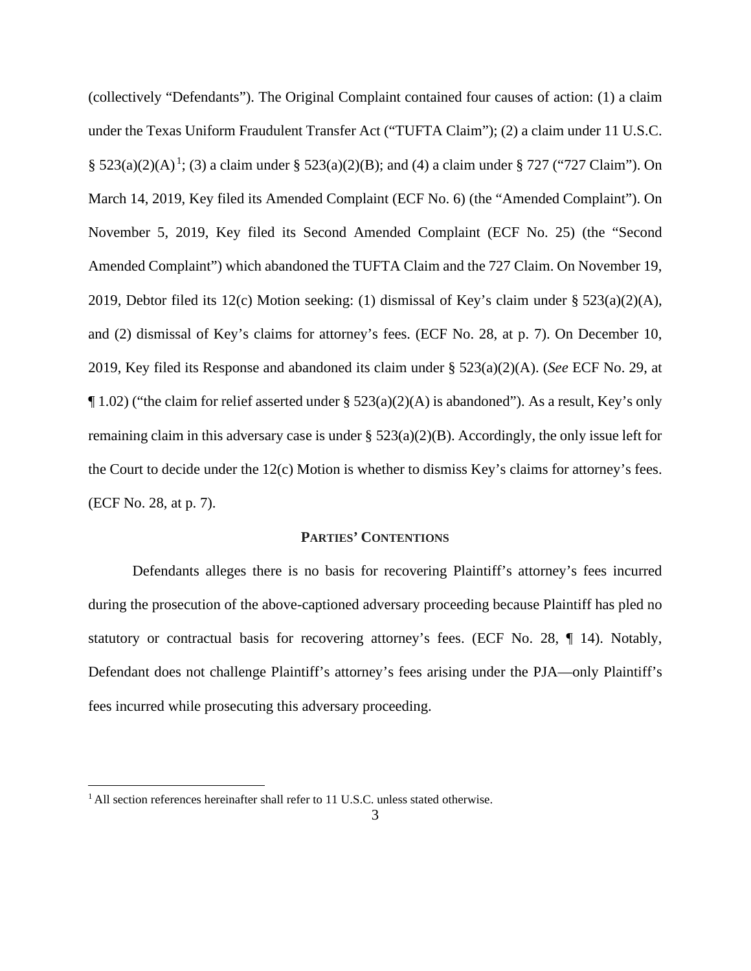(collectively "Defendants"). The Original Complaint contained four causes of action: (1) a claim under the Texas Uniform Fraudulent Transfer Act ("TUFTA Claim"); (2) a claim under 11 U.S.C.  $\S 523(a)(2)(A)^{1}$ ; (3) a claim under § 523(a)(2)(B); and (4) a claim under § 727 ("727 Claim"). On March 14, 2019, Key filed its Amended Complaint (ECF No. 6) (the "Amended Complaint"). On November 5, 2019, Key filed its Second Amended Complaint (ECF No. 25) (the "Second Amended Complaint") which abandoned the TUFTA Claim and the 727 Claim. On November 19, 2019, Debtor filed its 12(c) Motion seeking: (1) dismissal of Key's claim under § 523(a)(2)(A), and (2) dismissal of Key's claims for attorney's fees. (ECF No. 28, at p. 7). On December 10, 2019, Key filed its Response and abandoned its claim under § 523(a)(2)(A). (*See* ECF No. 29, at  $\P$  1.02) ("the claim for relief asserted under § 523(a)(2)(A) is abandoned"). As a result, Key's only remaining claim in this adversary case is under  $\S$  523(a)(2)(B). Accordingly, the only issue left for the Court to decide under the 12(c) Motion is whether to dismiss Key's claims for attorney's fees. (ECF No. 28, at p. 7).

## **PARTIES' CONTENTIONS**

Defendants alleges there is no basis for recovering Plaintiff's attorney's fees incurred during the prosecution of the above-captioned adversary proceeding because Plaintiff has pled no statutory or contractual basis for recovering attorney's fees. (ECF No. 28, ¶ 14). Notably, Defendant does not challenge Plaintiff's attorney's fees arising under the PJA—only Plaintiff's fees incurred while prosecuting this adversary proceeding.

<sup>&</sup>lt;sup>1</sup> All section references hereinafter shall refer to 11 U.S.C. unless stated otherwise.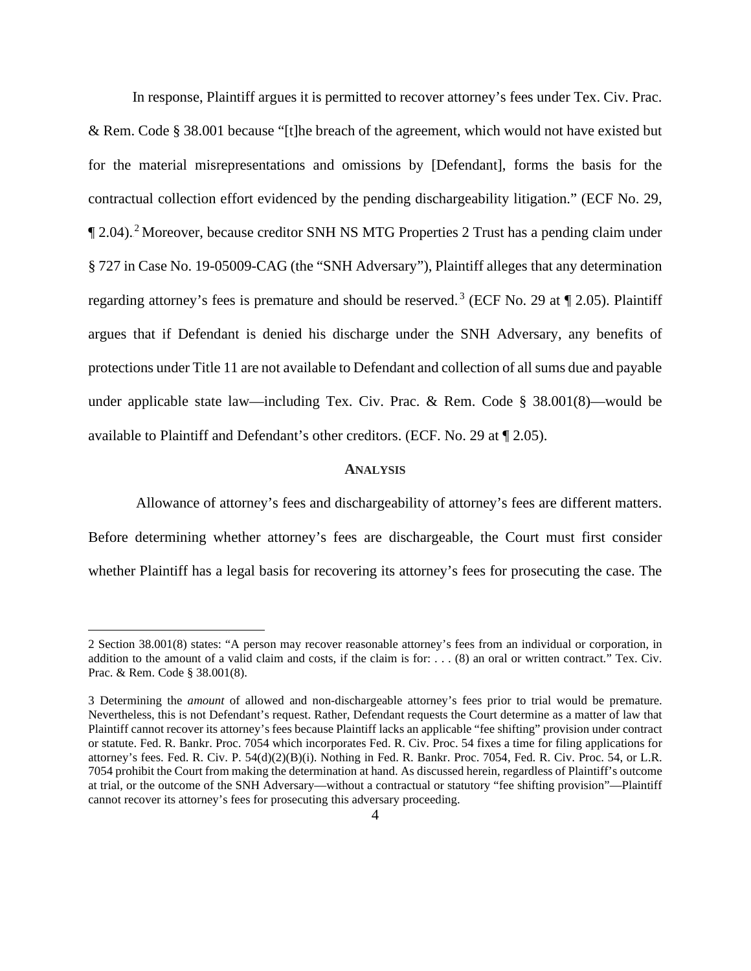In response, Plaintiff argues it is permitted to recover attorney's fees under Tex. Civ. Prac. & Rem. Code § 38.001 because "[t]he breach of the agreement, which would not have existed but for the material misrepresentations and omissions by [Defendant], forms the basis for the contractual collection effort evidenced by the pending dischargeability litigation." (ECF No. 29, 1 2.04).<sup>2</sup> Moreover, because creditor SNH NS MTG Properties 2 Trust has a pending claim under § 727 in Case No. 19-05009-CAG (the "SNH Adversary"), Plaintiff alleges that any determination regarding attorney's fees is premature and should be reserved.<sup>3</sup> (ECF No. 29 at  $\P$  2.05). Plaintiff argues that if Defendant is denied his discharge under the SNH Adversary, any benefits of protections under Title 11 are not available to Defendant and collection of all sums due and payable under applicable state law—including Tex. Civ. Prac. & Rem. Code § 38.001(8)—would be available to Plaintiff and Defendant's other creditors. (ECF. No. 29 at ¶ 2.05).

#### **ANALYSIS**

Allowance of attorney's fees and dischargeability of attorney's fees are different matters. Before determining whether attorney's fees are dischargeable, the Court must first consider whether Plaintiff has a legal basis for recovering its attorney's fees for prosecuting the case. The

<sup>2</sup> Section 38.001(8) states: "A person may recover reasonable attorney's fees from an individual or corporation, in addition to the amount of a valid claim and costs, if the claim is for: . . . (8) an oral or written contract." Tex. Civ. Prac. & Rem. Code § 38.001(8).

<sup>3</sup> Determining the *amount* of allowed and non-dischargeable attorney's fees prior to trial would be premature. Nevertheless, this is not Defendant's request. Rather, Defendant requests the Court determine as a matter of law that Plaintiff cannot recover its attorney's fees because Plaintiff lacks an applicable "fee shifting" provision under contract or statute. Fed. R. Bankr. Proc. 7054 which incorporates Fed. R. Civ. Proc. 54 fixes a time for filing applications for attorney's fees. Fed. R. Civ. P. 54(d)(2)(B)(i). Nothing in Fed. R. Bankr. Proc. 7054, Fed. R. Civ. Proc. 54, or L.R. 7054 prohibit the Court from making the determination at hand. As discussed herein, regardless of Plaintiff's outcome at trial, or the outcome of the SNH Adversary—without a contractual or statutory "fee shifting provision"—Plaintiff cannot recover its attorney's fees for prosecuting this adversary proceeding.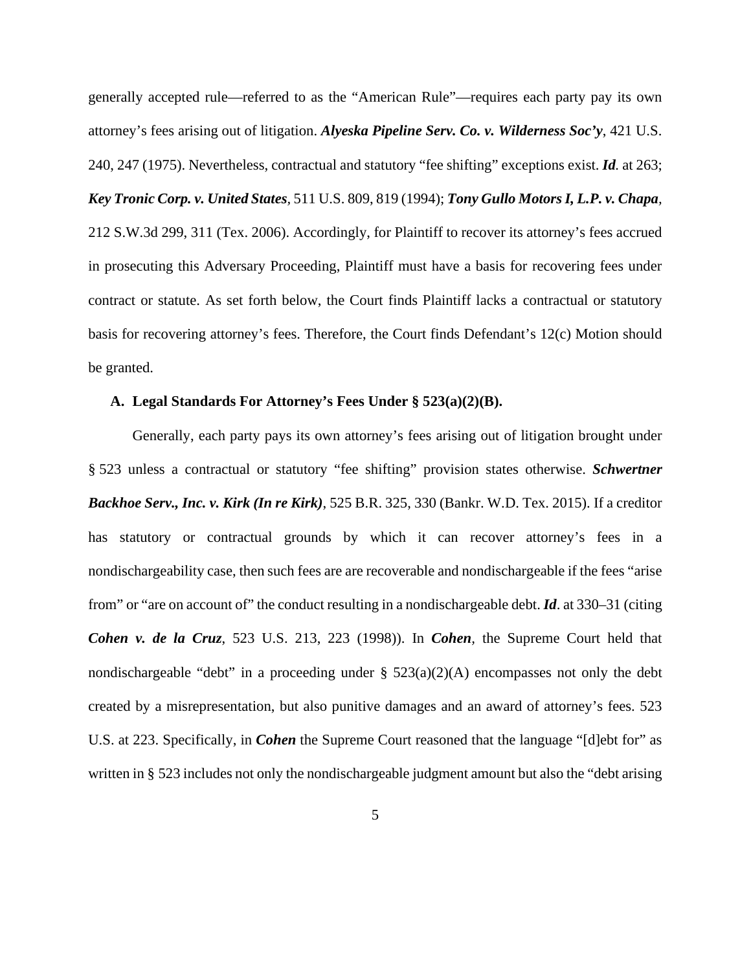generally accepted rule—referred to as the "American Rule"—requires each party pay its own attorney's fees arising out of litigation. *Alyeska Pipeline Serv. Co. v. Wilderness Soc'y*, 421 U.S. 240, 247 (1975). Nevertheless, contractual and statutory "fee shifting" exceptions exist. *Id.* at 263; *Key Tronic Corp. v. United States,* 511 U.S. 809, 819 (1994); *Tony Gullo Motors I, L.P. v. Chapa,* 212 S.W.3d 299, 311 (Tex. 2006). Accordingly, for Plaintiff to recover its attorney's fees accrued in prosecuting this Adversary Proceeding, Plaintiff must have a basis for recovering fees under contract or statute. As set forth below, the Court finds Plaintiff lacks a contractual or statutory basis for recovering attorney's fees. Therefore, the Court finds Defendant's 12(c) Motion should be granted.

## **A. Legal Standards For Attorney's Fees Under § 523(a)(2)(B).**

Generally, each party pays its own attorney's fees arising out of litigation brought under § 523 unless a contractual or statutory "fee shifting" provision states otherwise. *Schwertner Backhoe Serv., Inc. v. Kirk (In re Kirk)*, 525 B.R. 325, 330 (Bankr. W.D. Tex. 2015). If a creditor has statutory or contractual grounds by which it can recover attorney's fees in a nondischargeability case, then such fees are are recoverable and nondischargeable if the fees "arise from" or "are on account of" the conduct resulting in a nondischargeable debt. *Id*. at 330–31 (citing *Cohen v. de la Cruz*, 523 U.S. 213, 223 (1998)). In *Cohen,* the Supreme Court held that nondischargeable "debt" in a proceeding under  $\S$  523(a)(2)(A) encompasses not only the debt created by a misrepresentation, but also punitive damages and an award of attorney's fees. 523 U.S. at 223. Specifically, in *Cohen* the Supreme Court reasoned that the language "[d]ebt for" as written in § 523 includes not only the nondischargeable judgment amount but also the "debt arising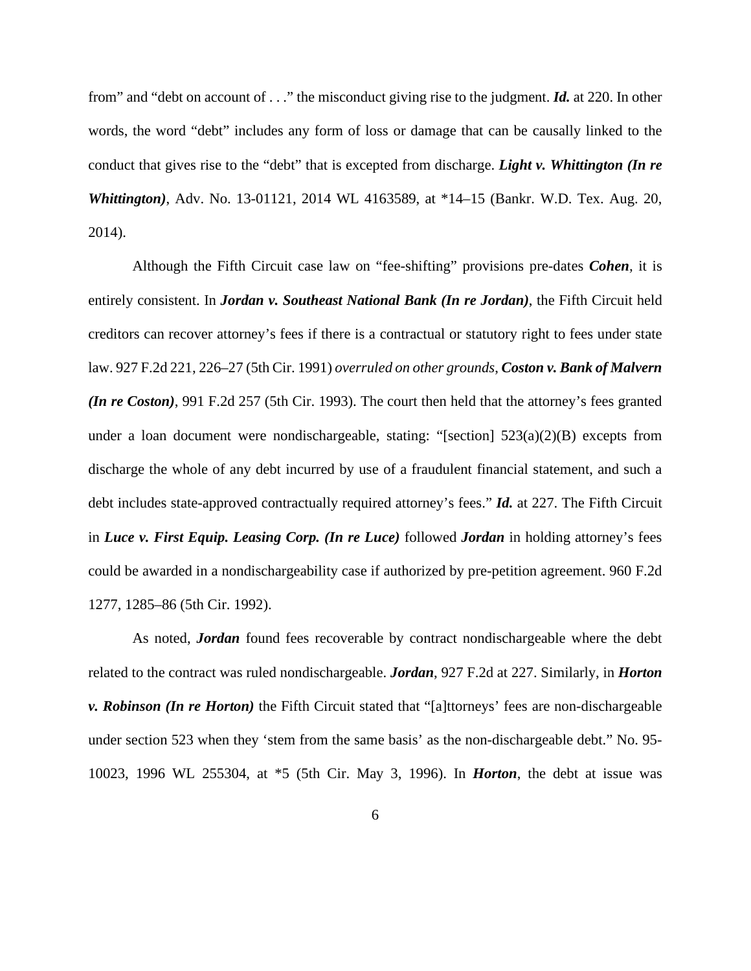from" and "debt on account of . . ." the misconduct giving rise to the judgment. *Id.* at 220. In other words, the word "debt" includes any form of loss or damage that can be causally linked to the conduct that gives rise to the "debt" that is excepted from discharge. *Light v. Whittington (In re Whittington)*, Adv. No. 13-01121, 2014 WL 4163589, at \*14–15 (Bankr. W.D. Tex. Aug. 20, 2014).

Although the Fifth Circuit case law on "fee-shifting" provisions pre-dates *Cohen,* it is entirely consistent. In *Jordan v. Southeast National Bank (In re Jordan)*, the Fifth Circuit held creditors can recover attorney's fees if there is a contractual or statutory right to fees under state law. 927 F.2d 221, 226–27 (5th Cir. 1991) *overruled on other grounds*, *Coston v. Bank of Malvern (In re Coston)*, 991 F.2d 257 (5th Cir. 1993). The court then held that the attorney's fees granted under a loan document were nondischargeable, stating: "[section]  $523(a)(2)(B)$  excepts from discharge the whole of any debt incurred by use of a fraudulent financial statement, and such a debt includes state-approved contractually required attorney's fees." *Id.* at 227. The Fifth Circuit in *Luce v. First Equip. Leasing Corp. (In re Luce)* followed *Jordan* in holding attorney's fees could be awarded in a nondischargeability case if authorized by pre-petition agreement. 960 F.2d 1277, 1285–86 (5th Cir. 1992).

As noted, *Jordan* found fees recoverable by contract nondischargeable where the debt related to the contract was ruled nondischargeable. *Jordan*, 927 F.2d at 227. Similarly, in *Horton v. Robinson (In re Horton)* the Fifth Circuit stated that "[a]ttorneys' fees are non-dischargeable under section 523 when they 'stem from the same basis' as the non-dischargeable debt." No. 95- 10023, 1996 WL 255304, at \*5 (5th Cir. May 3, 1996). In *Horton*, the debt at issue was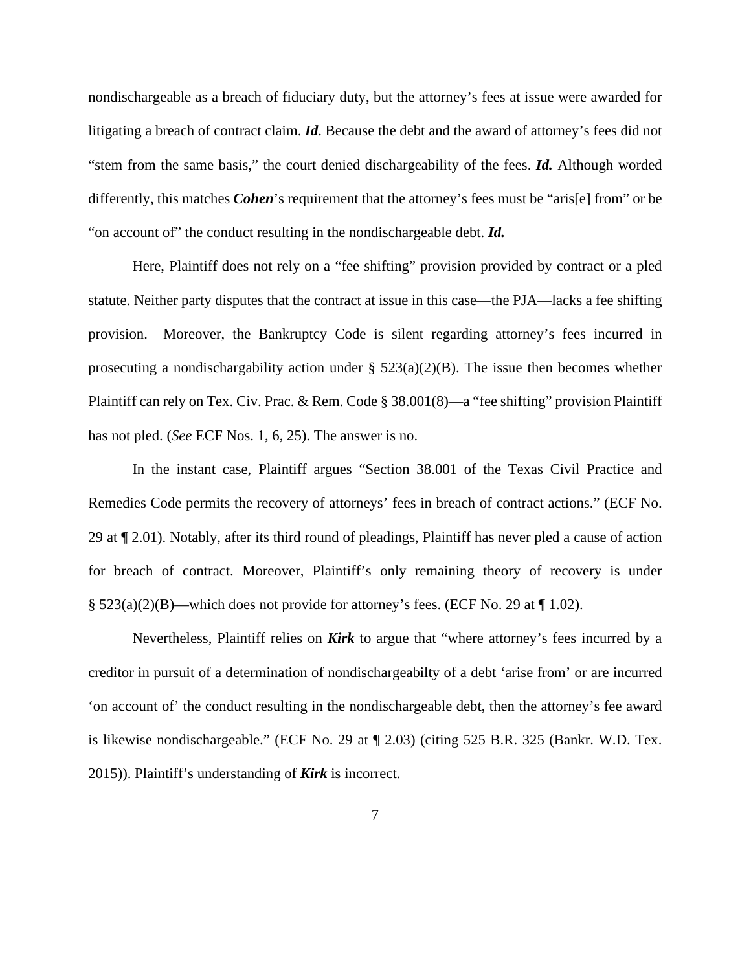nondischargeable as a breach of fiduciary duty, but the attorney's fees at issue were awarded for litigating a breach of contract claim. *Id*. Because the debt and the award of attorney's fees did not "stem from the same basis," the court denied dischargeability of the fees. *Id.* Although worded differently, this matches *Cohen*'s requirement that the attorney's fees must be "aris[e] from" or be "on account of" the conduct resulting in the nondischargeable debt. *Id.*

Here, Plaintiff does not rely on a "fee shifting" provision provided by contract or a pled statute. Neither party disputes that the contract at issue in this case—the PJA—lacks a fee shifting provision. Moreover, the Bankruptcy Code is silent regarding attorney's fees incurred in prosecuting a nondischargability action under  $\S$  523(a)(2)(B). The issue then becomes whether Plaintiff can rely on Tex. Civ. Prac. & Rem. Code § 38.001(8)—a "fee shifting" provision Plaintiff has not pled. (*See* ECF Nos. 1, 6, 25). The answer is no.

In the instant case, Plaintiff argues "Section 38.001 of the Texas Civil Practice and Remedies Code permits the recovery of attorneys' fees in breach of contract actions." (ECF No. 29 at ¶ 2.01). Notably, after its third round of pleadings, Plaintiff has never pled a cause of action for breach of contract. Moreover, Plaintiff's only remaining theory of recovery is under §  $523(a)(2)(B)$ —which does not provide for attorney's fees. (ECF No. 29 at  $\P$  1.02).

Nevertheless, Plaintiff relies on *Kirk* to argue that "where attorney's fees incurred by a creditor in pursuit of a determination of nondischargeabilty of a debt 'arise from' or are incurred 'on account of' the conduct resulting in the nondischargeable debt, then the attorney's fee award is likewise nondischargeable." (ECF No. 29 at ¶ 2.03) (citing 525 B.R. 325 (Bankr. W.D. Tex. 2015)). Plaintiff's understanding of *Kirk* is incorrect.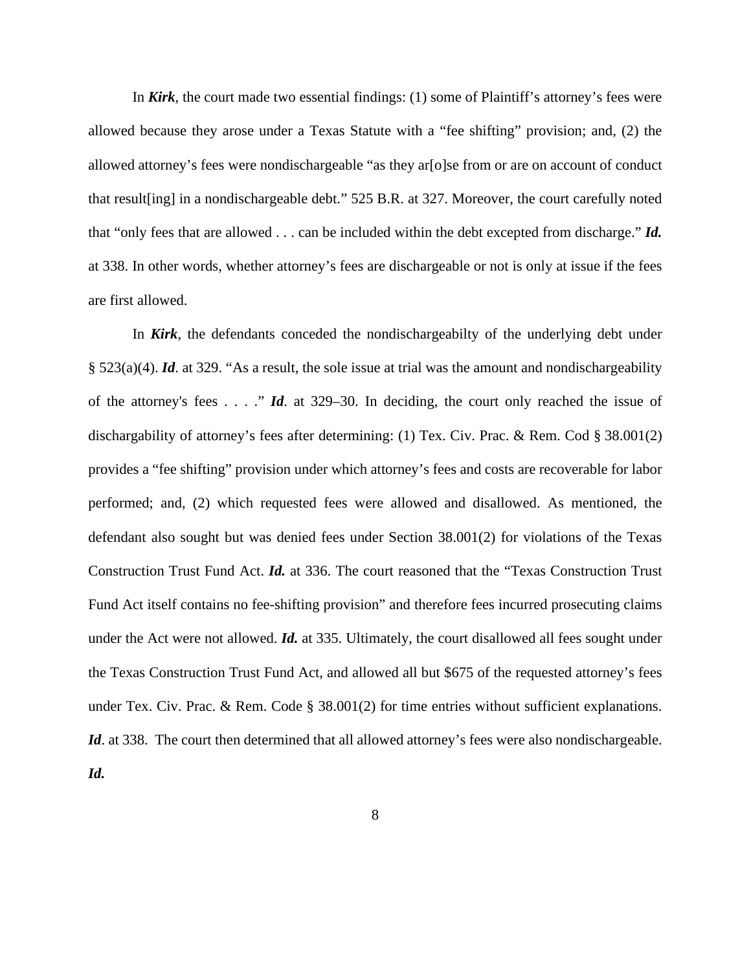In *Kirk*, the court made two essential findings: (1) some of Plaintiff's attorney's fees were allowed because they arose under a Texas Statute with a "fee shifting" provision; and, (2) the allowed attorney's fees were nondischargeable "as they ar[o]se from or are on account of conduct that result[ing] in a nondischargeable debt." 525 B.R. at 327. Moreover, the court carefully noted that "only fees that are allowed . . . can be included within the debt excepted from discharge." *Id.*  at 338. In other words, whether attorney's fees are dischargeable or not is only at issue if the fees are first allowed.

In *Kirk*, the defendants conceded the nondischargeabilty of the underlying debt under § 523(a)(4). *Id*. at 329. "As a result, the sole issue at trial was the amount and nondischargeability of the attorney's fees . . . ." *Id*. at 329–30. In deciding, the court only reached the issue of dischargability of attorney's fees after determining: (1) Tex. Civ. Prac. & Rem. Cod § 38.001(2) provides a "fee shifting" provision under which attorney's fees and costs are recoverable for labor performed; and, (2) which requested fees were allowed and disallowed. As mentioned, the defendant also sought but was denied fees under Section 38.001(2) for violations of the Texas Construction Trust Fund Act. *Id.* at 336. The court reasoned that the "Texas Construction Trust Fund Act itself contains no fee-shifting provision" and therefore fees incurred prosecuting claims under the Act were not allowed. *Id.* at 335. Ultimately, the court disallowed all fees sought under the Texas Construction Trust Fund Act, and allowed all but \$675 of the requested attorney's fees under Tex. Civ. Prac. & Rem. Code § 38.001(2) for time entries without sufficient explanations. Id. at 338. The court then determined that all allowed attorney's fees were also nondischargeable. *Id.*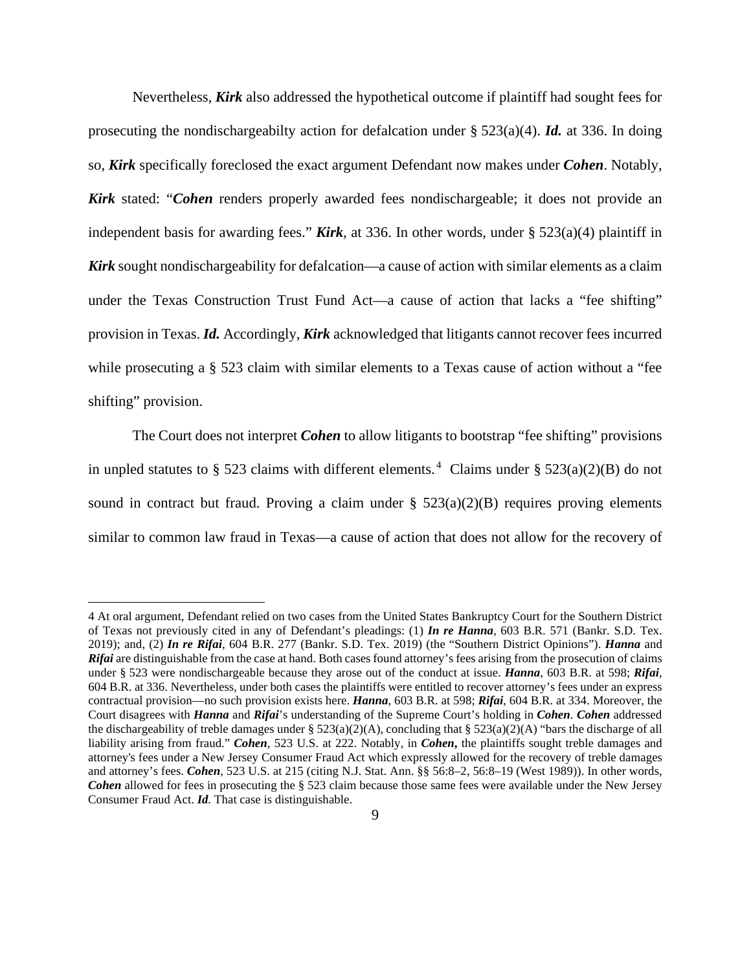Nevertheless, *Kirk* also addressed the hypothetical outcome if plaintiff had sought fees for prosecuting the nondischargeabilty action for defalcation under § 523(a)(4). *Id.* at 336. In doing so, *Kirk* specifically foreclosed the exact argument Defendant now makes under *Cohen*. Notably, *Kirk* stated: "*Cohen* renders properly awarded fees nondischargeable; it does not provide an independent basis for awarding fees." *Kirk*, at 336. In other words, under § 523(a)(4) plaintiff in *Kirk* sought nondischargeability for defalcation—a cause of action with similar elements as a claim under the Texas Construction Trust Fund Act—a cause of action that lacks a "fee shifting" provision in Texas. *Id.* Accordingly, *Kirk* acknowledged that litigants cannot recover fees incurred while prosecuting a § 523 claim with similar elements to a Texas cause of action without a "fee shifting" provision.

The Court does not interpret *Cohen* to allow litigants to bootstrap "fee shifting" provisions in unpled statutes to § 523 claims with different elements.<sup>4</sup> Claims under § 523(a)(2)(B) do not sound in contract but fraud. Proving a claim under  $\S$  523(a)(2)(B) requires proving elements similar to common law fraud in Texas—a cause of action that does not allow for the recovery of

<sup>4</sup> At oral argument, Defendant relied on two cases from the United States Bankruptcy Court for the Southern District of Texas not previously cited in any of Defendant's pleadings: (1) *In re Hanna*, 603 B.R. 571 (Bankr. S.D. Tex. 2019); and, (2) *In re Rifai*, 604 B.R. 277 (Bankr. S.D. Tex. 2019) (the "Southern District Opinions"). *Hanna* and *Rifai* are distinguishable from the case at hand. Both cases found attorney's fees arising from the prosecution of claims under § 523 were nondischargeable because they arose out of the conduct at issue. *Hanna*, 603 B.R. at 598; *Rifai*, 604 B.R. at 336. Nevertheless, under both cases the plaintiffs were entitled to recover attorney's fees under an express contractual provision—no such provision exists here. *Hanna*, 603 B.R. at 598; *Rifai*, 604 B.R. at 334. Moreover, the Court disagrees with *Hanna* and *Rifai*'s understanding of the Supreme Court's holding in *Cohen*. *Cohen* addressed the dischargeability of treble damages under §  $523(a)(2)(A)$ , concluding that §  $523(a)(2)(A)$  "bars the discharge of all liability arising from fraud." *Cohen*, 523 U.S. at 222. Notably, in *Cohen***,** the plaintiffs sought treble damages and attorney's fees under a New Jersey Consumer Fraud Act which expressly allowed for the recovery of treble damages and attorney's fees. *Cohen*, 523 U.S. at 215 (citing N.J. Stat. Ann. §§ 56:8–2, 56:8–19 (West 1989)). In other words, *Cohen* allowed for fees in prosecuting the § 523 claim because those same fees were available under the New Jersey Consumer Fraud Act. *Id.* That case is distinguishable.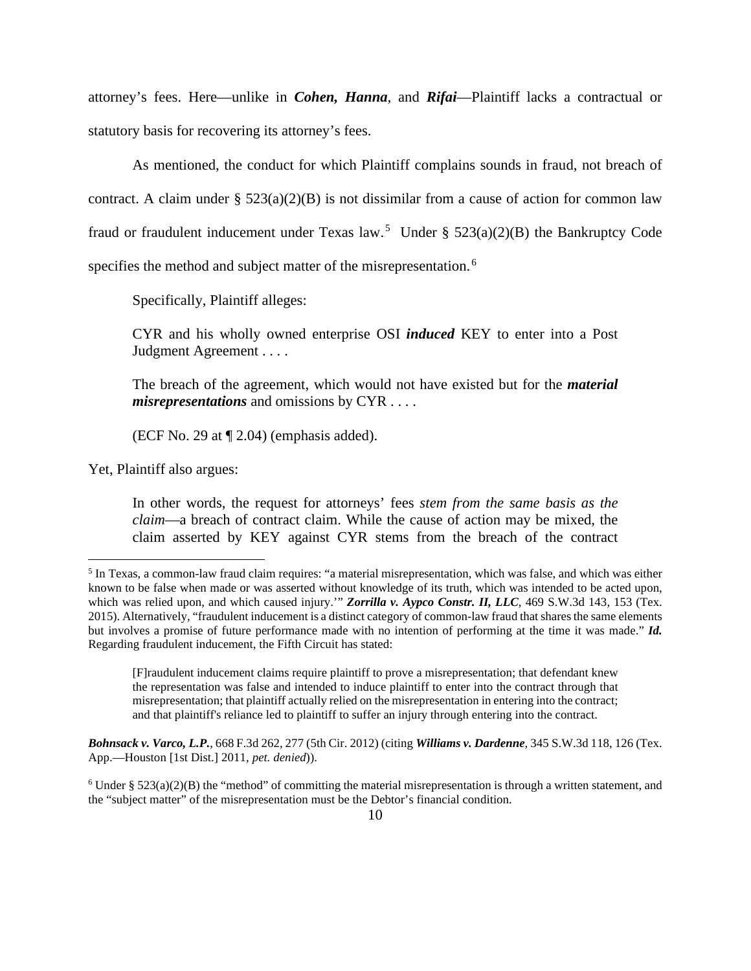attorney's fees. Here—unlike in *Cohen, Hanna,* and *Rifai*—Plaintiff lacks a contractual or statutory basis for recovering its attorney's fees.

As mentioned, the conduct for which Plaintiff complains sounds in fraud, not breach of contract. A claim under  $\S 523(a)(2)(B)$  is not dissimilar from a cause of action for common law fraud or fraudulent inducement under Texas law.<sup>5</sup> Under §  $523(a)(2)(B)$  the Bankruptcy Code specifies the method and subject matter of the misrepresentation.<sup>6</sup>

Specifically, Plaintiff alleges:

CYR and his wholly owned enterprise OSI *induced* KEY to enter into a Post Judgment Agreement . . . .

The breach of the agreement, which would not have existed but for the *material misrepresentations* and omissions by CYR . . . .

(ECF No. 29 at ¶ 2.04) (emphasis added).

Yet, Plaintiff also argues:

In other words, the request for attorneys' fees *stem from the same basis as the claim*—a breach of contract claim. While the cause of action may be mixed, the claim asserted by KEY against CYR stems from the breach of the contract

<sup>5</sup> In Texas, a common-law fraud claim requires: "a material misrepresentation, which was false, and which was either known to be false when made or was asserted without knowledge of its truth, which was intended to be acted upon, which was relied upon, and which caused injury." *Zorrilla v. Aypco Constr. II, LLC*, 469 S.W.3d 143, 153 (Tex. 2015). Alternatively, "fraudulent inducement is a distinct category of common-law fraud that shares the same elements but involves a promise of future performance made with no intention of performing at the time it was made." *Id.* Regarding fraudulent inducement, the Fifth Circuit has stated:

<sup>[</sup>F]raudulent inducement claims require plaintiff to prove a misrepresentation; that defendant knew the representation was false and intended to induce plaintiff to enter into the contract through that misrepresentation; that plaintiff actually relied on the misrepresentation in entering into the contract; and that plaintiff's reliance led to plaintiff to suffer an injury through entering into the contract.

*Bohnsack v. Varco, L.P.*, 668 F.3d 262, 277 (5th Cir. 2012) (citing *Williams v. Dardenne*, 345 S.W.3d 118, 126 (Tex. App.—Houston [1st Dist.] 2011, *pet. denied*)).

<sup>&</sup>lt;sup>6</sup> Under §  $523(a)(2)(B)$  the "method" of committing the material misrepresentation is through a written statement, and the "subject matter" of the misrepresentation must be the Debtor's financial condition.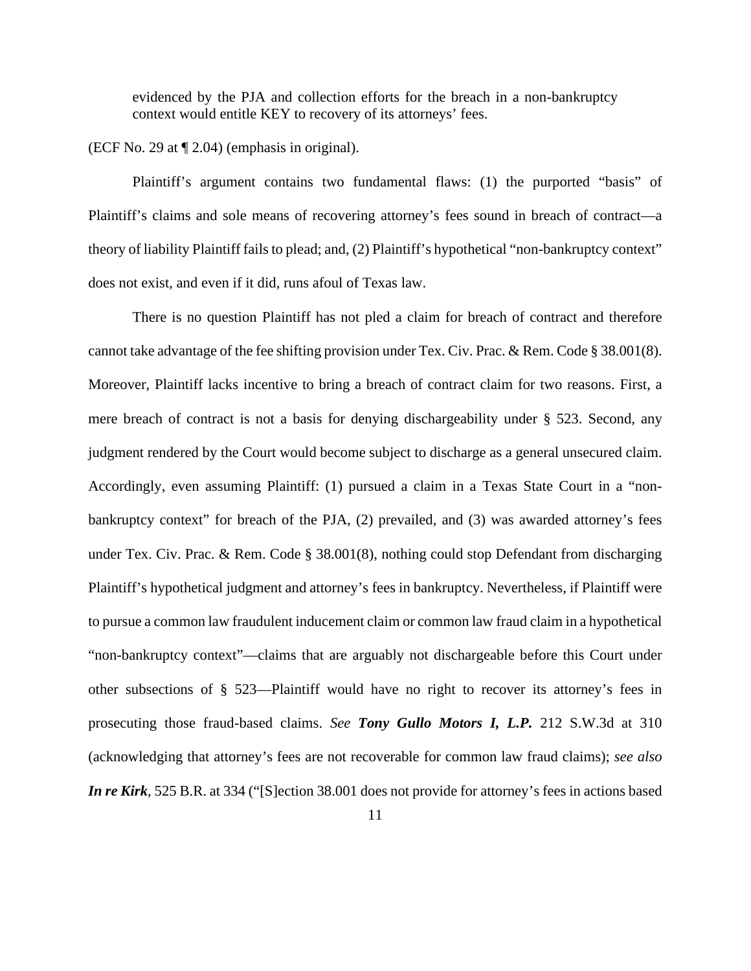evidenced by the PJA and collection efforts for the breach in a non-bankruptcy context would entitle KEY to recovery of its attorneys' fees.

### (ECF No. 29 at ¶ 2.04) (emphasis in original).

Plaintiff's argument contains two fundamental flaws: (1) the purported "basis" of Plaintiff's claims and sole means of recovering attorney's fees sound in breach of contract—a theory of liability Plaintiff fails to plead; and, (2) Plaintiff's hypothetical "non-bankruptcy context" does not exist, and even if it did, runs afoul of Texas law.

There is no question Plaintiff has not pled a claim for breach of contract and therefore cannot take advantage of the fee shifting provision under Tex. Civ. Prac. & Rem. Code § 38.001(8). Moreover, Plaintiff lacks incentive to bring a breach of contract claim for two reasons. First, a mere breach of contract is not a basis for denying dischargeability under § 523. Second, any judgment rendered by the Court would become subject to discharge as a general unsecured claim. Accordingly, even assuming Plaintiff: (1) pursued a claim in a Texas State Court in a "nonbankruptcy context" for breach of the PJA, (2) prevailed, and (3) was awarded attorney's fees under Tex. Civ. Prac. & Rem. Code § 38.001(8), nothing could stop Defendant from discharging Plaintiff's hypothetical judgment and attorney's fees in bankruptcy. Nevertheless, if Plaintiff were to pursue a common law fraudulent inducement claim or common law fraud claim in a hypothetical "non-bankruptcy context"—claims that are arguably not dischargeable before this Court under other subsections of § 523—Plaintiff would have no right to recover its attorney's fees in prosecuting those fraud-based claims. *See Tony Gullo Motors I, L.P.* 212 S.W.3d at 310 (acknowledging that attorney's fees are not recoverable for common law fraud claims); *see also In re Kirk*, 525 B.R. at 334 ("[S]ection 38.001 does not provide for attorney's fees in actions based